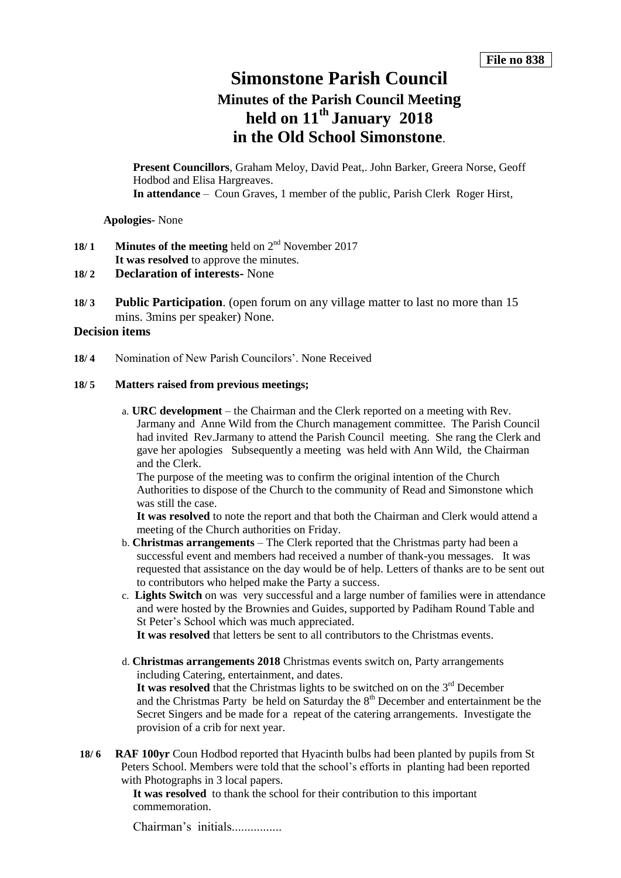# **Simonstone Parish Council**

## **Minutes of the Parish Council Meeting held on 11th January 2018 in the Old School Simonstone**.

**Present Councillors**, Graham Meloy, David Peat,. John Barker, Greera Norse, Geoff Hodbod and Elisa Hargreaves. **In attendance** – Coun Graves, 1 member of the public, Parish Clerk Roger Hirst,

**Apologies-** None

- **18/ 1 Minutes of the meeting** held on 2nd November 2017 **It was resolved** to approve the minutes.
- **18/ 2 Declaration of interests-** None
- **18/ 3 Public Participation**. (open forum on any village matter to last no more than 15 mins. 3mins per speaker) None.

## **Decision items**

**18/ 4** Nomination of New Parish Councilors'. None Received

## **18/ 5 Matters raised from previous meetings;**

a. **URC development** – the Chairman and the Clerk reported on a meeting with Rev. Jarmany and Anne Wild from the Church management committee. The Parish Council had invited Rev.Jarmany to attend the Parish Council meeting. She rang the Clerk and gave her apologies Subsequently a meeting was held with Ann Wild, the Chairman and the Clerk.

The purpose of the meeting was to confirm the original intention of the Church Authorities to dispose of the Church to the community of Read and Simonstone which was still the case.

**It was resolved** to note the report and that both the Chairman and Clerk would attend a meeting of the Church authorities on Friday.

- b. **Christmas arrangements** The Clerk reported that the Christmas party had been a successful event and members had received a number of thank-you messages. It was requested that assistance on the day would be of help. Letters of thanks are to be sent out to contributors who helped make the Party a success.
- c. **Lights Switch** on was very successful and a large number of families were in attendance and were hosted by the Brownies and Guides, supported by Padiham Round Table and St Peter's School which was much appreciated.

**It was resolved** that letters be sent to all contributors to the Christmas events.

d. **Christmas arrangements 2018** Christmas events switch on, Party arrangements including Catering, entertainment, and dates.

It was resolved that the Christmas lights to be switched on on the 3<sup>rd</sup> December and the Christmas Party be held on Saturday the  $8<sup>th</sup>$  December and entertainment be the Secret Singers and be made for a repeat of the catering arrangements. Investigate the provision of a crib for next year.

**18/ 6 RAF 100yr** Coun Hodbod reported that Hyacinth bulbs had been planted by pupils from St Peters School. Members were told that the school's efforts in planting had been reported with Photographs in 3 local papers.

> **It was resolved** to thank the school for their contribution to this important commemoration.

Chairman's initials................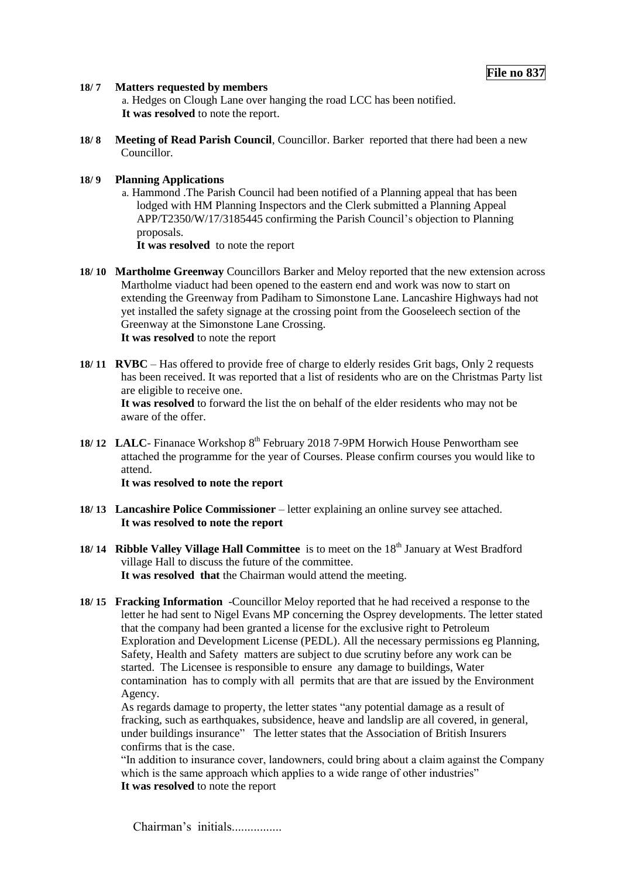### **18/ 7 Matters requested by members**

a. Hedges on Clough Lane over hanging the road LCC has been notified. **It was resolved** to note the report.

**18/ 8 Meeting of Read Parish Council**, Councillor. Barker reported that there had been a new Councillor.

## **18/ 9 Planning Applications**

a. Hammond .The Parish Council had been notified of a Planning appeal that has been lodged with HM Planning Inspectors and the Clerk submitted a Planning Appeal APP/T2350/W/17/3185445 confirming the Parish Council's objection to Planning proposals.

**It was resolved** to note the report

- **18/ 10 Martholme Greenway** Councillors Barker and Meloy reported that the new extension across Martholme viaduct had been opened to the eastern end and work was now to start on extending the Greenway from Padiham to Simonstone Lane. Lancashire Highways had not yet installed the safety signage at the crossing point from the Gooseleech section of the Greenway at the Simonstone Lane Crossing.  **It was resolved** to note the report
- **18/ 11 RVBC** Has offered to provide free of charge to elderly resides Grit bags, Only 2 requests has been received. It was reported that a list of residents who are on the Christmas Party list are eligible to receive one.

**It was resolved** to forward the list the on behalf of the elder residents who may not be aware of the offer.

**18/ 12 LALC**- Finanace Workshop 8<sup>th</sup> February 2018 7-9PM Horwich House Penwortham see attached the programme for the year of Courses. Please confirm courses you would like to attend.

**It was resolved to note the report** 

- **18/ 13 Lancashire Police Commissioner** letter explaining an online survey see attached. **It was resolved to note the report**
- **18/ 14 Ribble Valley Village Hall Committee** is to meet on the 18<sup>th</sup> January at West Bradford village Hall to discuss the future of the committee. **It was resolved that** the Chairman would attend the meeting.
- **18/ 15 Fracking Information** -Councillor Meloy reported that he had received a response to the letter he had sent to Nigel Evans MP concerning the Osprey developments. The letter stated that the company had been granted a license for the exclusive right to Petroleum Exploration and Development License (PEDL). All the necessary permissions eg Planning, Safety, Health and Safety matters are subject to due scrutiny before any work can be started. The Licensee is responsible to ensure any damage to buildings, Water contamination has to comply with all permits that are that are issued by the Environment Agency.

As regards damage to property, the letter states "any potential damage as a result of fracking, such as earthquakes, subsidence, heave and landslip are all covered, in general, under buildings insurance" The letter states that the Association of British Insurers confirms that is the case.

"In addition to insurance cover, landowners, could bring about a claim against the Company which is the same approach which applies to a wide range of other industries" **It was resolved** to note the report

Chairman's initials.................